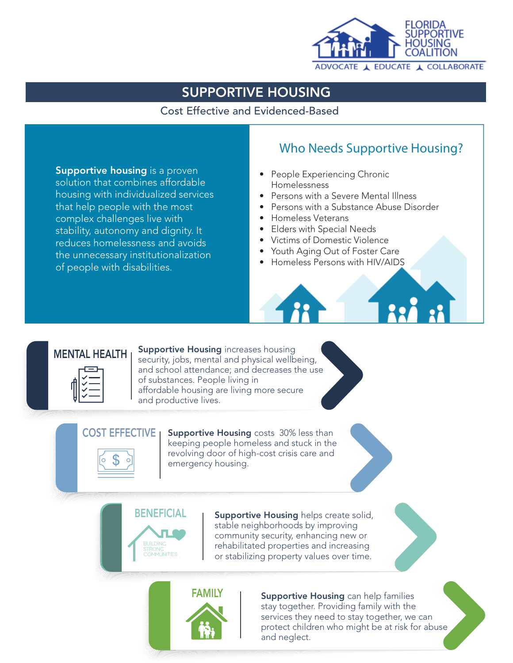

Cost Effective and Evidenced-Based

**Supportive housing** is a proven solution that combines affordable housing with individualized services that help people with the most complex challenges live with stability, autonomy and dignity. It reduces homelessness and avoids the unnecessary institutionalization of people with disabilities.

## Who Needs Supportive Housing?

- People Experiencing Chronic Homelessness
- Persons with a Severe Mental Illness
- Persons with a Substance Abuse Disorder
- Homeless Veterans
- Elders with Special Needs
- Victims of Domestic Violence
- Youth Aging Out of Foster Care
- Homeless Persons with HIV/AIDS

## **MENTAL HEALTH**

**Supportive Housing increases housing** security, jobs, mental and physical wellbeing, and school attendance; and decreases the use of substances. People living in affordable housing are living more secure and productive lives.

 $COST$  EFFECTIVE  $\parallel$  Supportive Housing costs 30% less than keeping people homeless and stuck in the revolving door of high-cost crisis care and emergency housing.



BENEFICIAL | Supportive Housing helps create solid, stable neighborhoods by improving community security, enhancing new or rehabilitated properties and increasing or stabilizing property values over time.



**FAMILY** | Supportive Housing can help families stay together. Providing family with the services they need to stay together, we can protect children who might be at risk for abuse and neglect.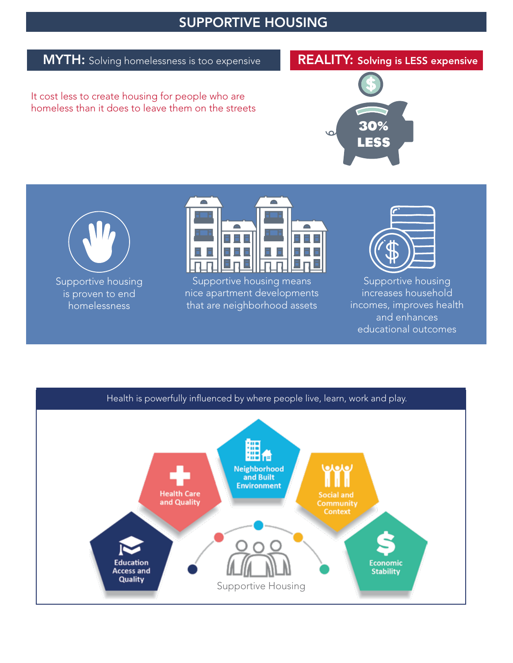### **MYTH:** Solving homelessness is too expensive

## REALITY: Solving is LESS expensive

It cost less to create housing for people who are homeless than it does to leave them on the streets





Supportive housing is proven to end homelessness



Supportive housing means nice apartment developments that are neighborhood assets



Supportive housing increases household incomes, improves health and enhances educational outcomes

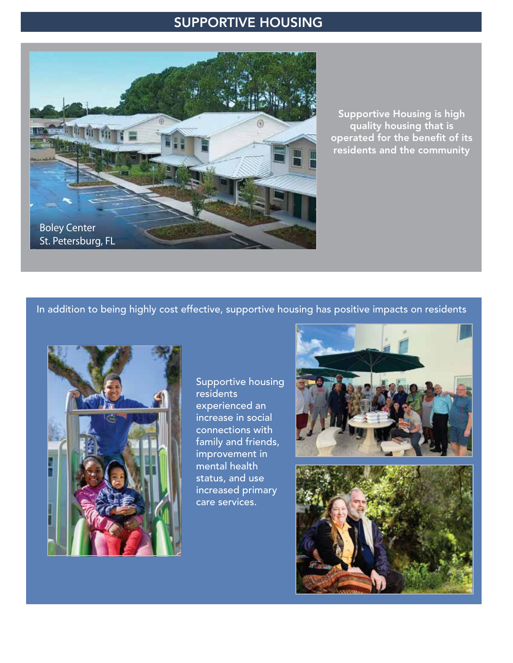

Supportive Housing is high quality housing that is operated for the benefit of its residents and the community

In addition to being highly cost effective, supportive housing has positive impacts on residents



Supportive housing residents experienced an increase in social connections with family and friends, improvement in mental health status, and use increased primary care services.